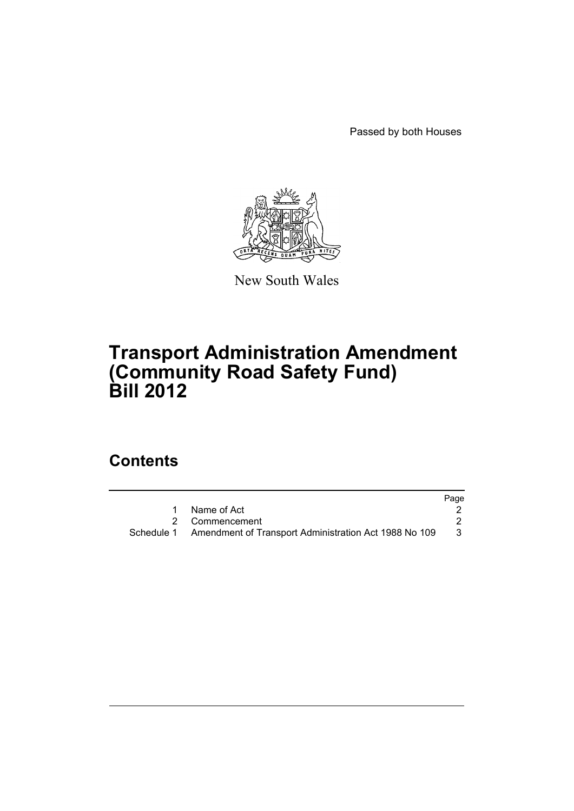Passed by both Houses



New South Wales

# **Transport Administration Amendment (Community Road Safety Fund) Bill 2012**

## **Contents**

|                                                                  | Page |
|------------------------------------------------------------------|------|
| Name of Act                                                      |      |
| 2 Commencement                                                   |      |
| Schedule 1 Amendment of Transport Administration Act 1988 No 109 | -3   |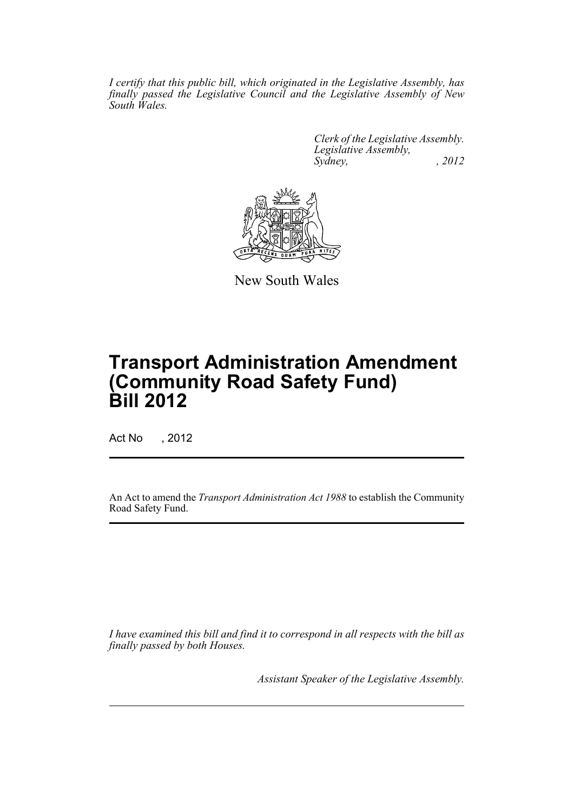*I certify that this public bill, which originated in the Legislative Assembly, has finally passed the Legislative Council and the Legislative Assembly of New South Wales.*

> *Clerk of the Legislative Assembly. Legislative Assembly, Sydney, , 2012*



New South Wales

## **Transport Administration Amendment (Community Road Safety Fund) Bill 2012**

Act No , 2012

An Act to amend the *Transport Administration Act 1988* to establish the Community Road Safety Fund.

*I have examined this bill and find it to correspond in all respects with the bill as finally passed by both Houses.*

*Assistant Speaker of the Legislative Assembly.*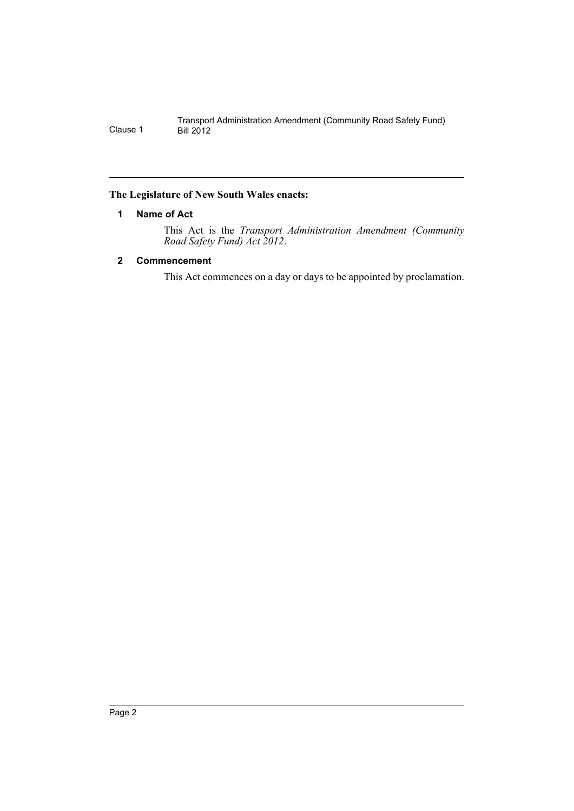## <span id="page-3-0"></span>**The Legislature of New South Wales enacts:**

## **1 Name of Act**

This Act is the *Transport Administration Amendment (Community Road Safety Fund) Act 2012*.

## <span id="page-3-1"></span>**2 Commencement**

This Act commences on a day or days to be appointed by proclamation.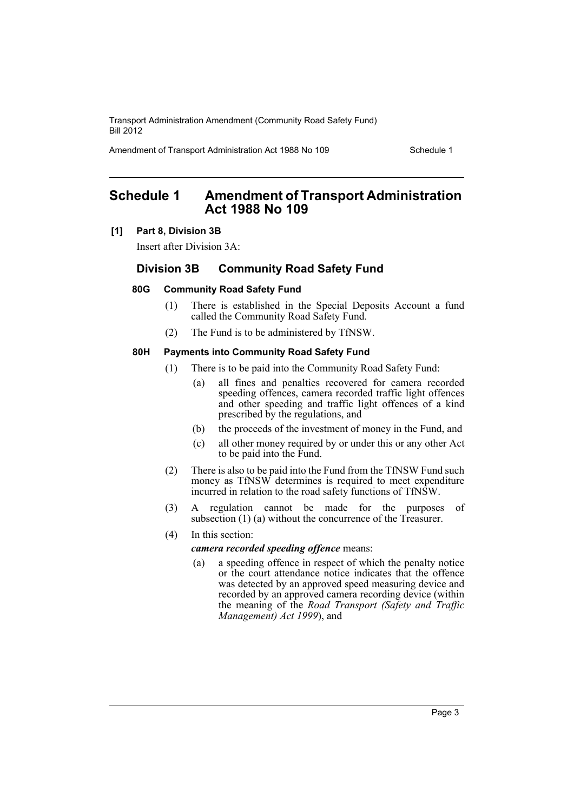Transport Administration Amendment (Community Road Safety Fund) Bill 2012

Amendment of Transport Administration Act 1988 No 109 Schedule 1

## <span id="page-4-0"></span>**Schedule 1 Amendment of Transport Administration Act 1988 No 109**

#### **[1] Part 8, Division 3B**

Insert after Division 3A:

## **Division 3B Community Road Safety Fund**

### **80G Community Road Safety Fund**

- (1) There is established in the Special Deposits Account a fund called the Community Road Safety Fund.
- (2) The Fund is to be administered by TfNSW.

#### **80H Payments into Community Road Safety Fund**

- (1) There is to be paid into the Community Road Safety Fund:
	- (a) all fines and penalties recovered for camera recorded speeding offences, camera recorded traffic light offences and other speeding and traffic light offences of a kind prescribed by the regulations, and
	- (b) the proceeds of the investment of money in the Fund, and
	- (c) all other money required by or under this or any other Act to be paid into the Fund.
- (2) There is also to be paid into the Fund from the TfNSW Fund such money as TfNSW determines is required to meet expenditure incurred in relation to the road safety functions of TfNSW.
- (3) A regulation cannot be made for the purposes of subsection (1) (a) without the concurrence of the Treasurer.
- (4) In this section:

#### *camera recorded speeding offence* means:

(a) a speeding offence in respect of which the penalty notice or the court attendance notice indicates that the offence was detected by an approved speed measuring device and recorded by an approved camera recording device (within the meaning of the *Road Transport (Safety and Traffic Management) Act 1999*), and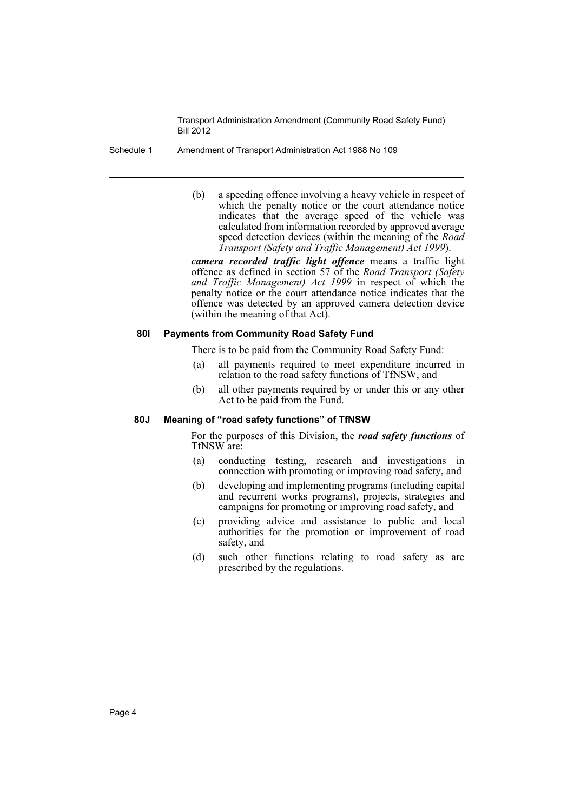Transport Administration Amendment (Community Road Safety Fund) Bill 2012

#### Schedule 1 Amendment of Transport Administration Act 1988 No 109

(b) a speeding offence involving a heavy vehicle in respect of which the penalty notice or the court attendance notice indicates that the average speed of the vehicle was calculated from information recorded by approved average speed detection devices (within the meaning of the *Road Transport (Safety and Traffic Management) Act 1999*).

*camera recorded traffic light offence* means a traffic light offence as defined in section 57 of the *Road Transport (Safety and Traffic Management) Act 1999* in respect of which the penalty notice or the court attendance notice indicates that the offence was detected by an approved camera detection device (within the meaning of that Act).

### **80I Payments from Community Road Safety Fund**

There is to be paid from the Community Road Safety Fund:

- (a) all payments required to meet expenditure incurred in relation to the road safety functions of TfNSW, and
- (b) all other payments required by or under this or any other Act to be paid from the Fund.

#### **80J Meaning of "road safety functions" of TfNSW**

For the purposes of this Division, the *road safety functions* of TfNSW are:

- (a) conducting testing, research and investigations in connection with promoting or improving road safety, and
- (b) developing and implementing programs (including capital and recurrent works programs), projects, strategies and campaigns for promoting or improving road safety, and
- (c) providing advice and assistance to public and local authorities for the promotion or improvement of road safety, and
- (d) such other functions relating to road safety as are prescribed by the regulations.